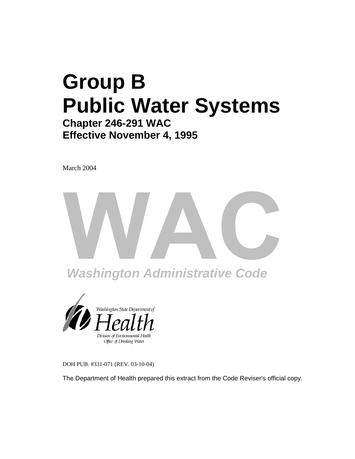# **Group B Public Water Systems Chapter 246-291 WAC**

## **Effective November 4, 1995**

March 2004





DOH PUB. #331-071 (REV. 03-10-04)

The Department of Health prepared this extract from the Code Reviser's official copy.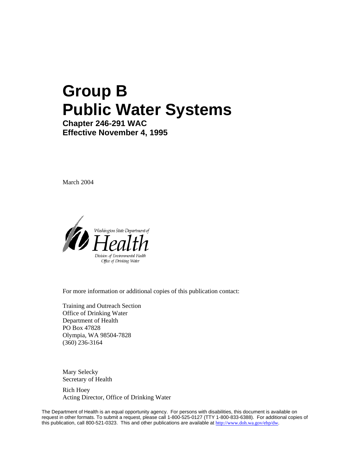# **Group B Public Water Systems**

**Chapter 246-291 WAC Effective November 4, 1995**

March 2004



For more information or additional copies of this publication contact:

Training and Outreach Section Office of Drinking Water Department of Health PO Box 47828 Olympia, WA 98504-7828 (360) 236-3164

Mary Selecky Secretary of Health

Rich Hoey Acting Director, Office of Drinking Water

The Department of Health is an equal opportunity agency. For persons with disabilities, this document is available on request in other formats. To submit a request, please call 1-800-525-0127 (TTY 1-800-833-6388). For additional copies of this publication, call 800-521-0323. This and other publications are available at [http://www.doh.wa.gov/ehp/dw.](http://www.doh.wa.gov/ehp/dw)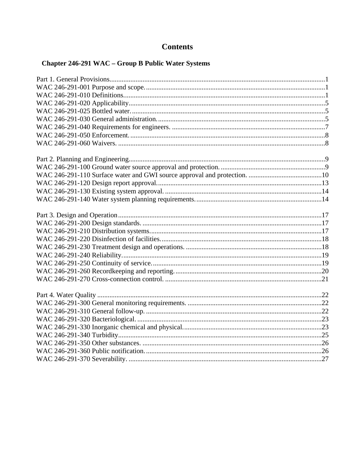### **Contents**

### Chapter 246-291 WAC - Group B Public Water Systems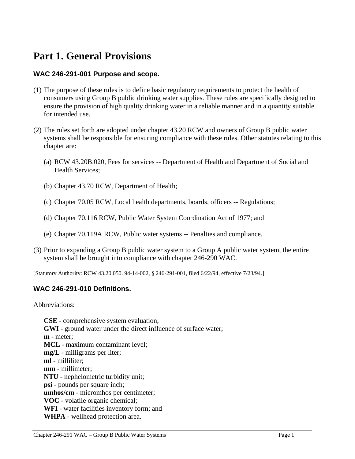### **Part 1. General Provisions**

#### **WAC 246-291-001 Purpose and scope.**

- (1) The purpose of these rules is to define basic regulatory requirements to protect the health of consumers using Group B public drinking water supplies. These rules are specifically designed to ensure the provision of high quality drinking water in a reliable manner and in a quantity suitable for intended use.
- (2) The rules set forth are adopted under chapter 43.20 RCW and owners of Group B public water systems shall be responsible for ensuring compliance with these rules. Other statutes relating to this chapter are:
	- (a) RCW 43.20B.020, Fees for services -- Department of Health and Department of Social and Health Services;
	- (b) Chapter 43.70 RCW, Department of Health;
	- (c) Chapter 70.05 RCW, Local health departments, boards, officers -- Regulations;
	- (d) Chapter 70.116 RCW, Public Water System Coordination Act of 1977; and
	- (e) Chapter 70.119A RCW, Public water systems -- Penalties and compliance.
- (3) Prior to expanding a Group B public water system to a Group A public water system, the entire system shall be brought into compliance with chapter 246-290 WAC.

[Statutory Authority: RCW 43.20.050. 94-14-002, § 246-291-001, filed 6/22/94, effective 7/23/94.]

#### **WAC 246-291-010 Definitions.**

Abbreviations:

**CSE** - comprehensive system evaluation; **GWI** - ground water under the direct influence of surface water; **m** - meter; **MCL** - maximum contaminant level; **mg/L** - milligrams per liter; **ml** - milliliter; **mm** - millimeter; **NTU** - nephelometric turbidity unit; **psi** - pounds per square inch; **umhos/cm** - micromhos per centimeter; **VOC** - volatile organic chemical; **WFI** - water facilities inventory form; and **WHPA** - wellhead protection area.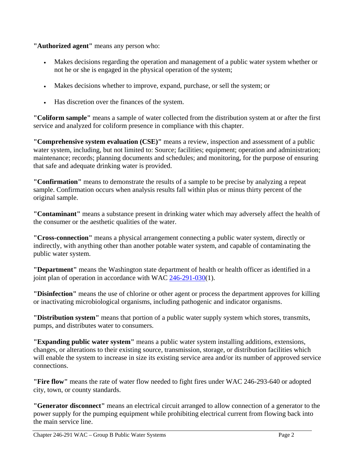**"Authorized agent"** means any person who:

- Makes decisions regarding the operation and management of a public water system whether or not he or she is engaged in the physical operation of the system;
- Makes decisions whether to improve, expand, purchase, or sell the system; or
- Has discretion over the finances of the system.

**"Coliform sample"** means a sample of water collected from the distribution system at or after the first service and analyzed for coliform presence in compliance with this chapter.

**"Comprehensive system evaluation (CSE)"** means a review, inspection and assessment of a public water system, including, but not limited to: Source; facilities; equipment; operation and administration; maintenance; records; planning documents and schedules; and monitoring, for the purpose of ensuring that safe and adequate drinking water is provided.

**"Confirmation"** means to demonstrate the results of a sample to be precise by analyzing a repeat sample. Confirmation occurs when analysis results fall within plus or minus thirty percent of the original sample.

**"Contaminant"** means a substance present in drinking water which may adversely affect the health of the consumer or the aesthetic qualities of the water.

**"Cross-connection"** means a physical arrangement connecting a public water system, directly or indirectly, with anything other than another potable water system, and capable of contaminating the public water system.

**"Department"** means the Washington state department of health or health officer as identified in a joint plan of operation in accordance with WAC 246-291-030(1).

**"Disinfection"** means the use of chlorine or other agent or process the department approves for killing or inactivating microbiological organisms, including pathogenic and indicator organisms.

**"Distribution system"** means that portion of a public water supply system which stores, transmits, pumps, and distributes water to consumers.

**"Expanding public water system"** means a public water system installing additions, extensions, changes, or alterations to their existing source, transmission, storage, or distribution facilities which will enable the system to increase in size its existing service area and/or its number of approved service connections.

**"Fire flow"** means the rate of water flow needed to fight fires under WAC 246-293-640 or adopted city, town, or county standards.

**"Generator disconnect"** means an electrical circuit arranged to allow connection of a generator to the power supply for the pumping equipment while prohibiting electrical current from flowing back into the main service line.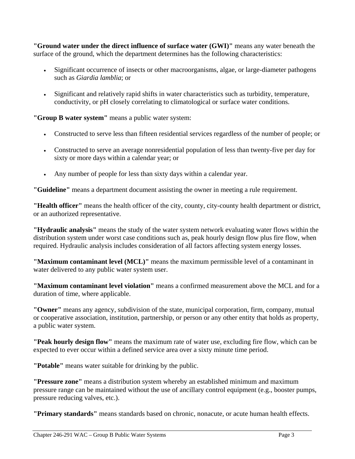**"Ground water under the direct influence of surface water (GWI)"** means any water beneath the surface of the ground, which the department determines has the following characteristics:

- Significant occurrence of insects or other macroorganisms, algae, or large-diameter pathogens such as *Giardia lamblia*; or
- Significant and relatively rapid shifts in water characteristics such as turbidity, temperature, conductivity, or pH closely correlating to climatological or surface water conditions.

**"Group B water system"** means a public water system:

- Constructed to serve less than fifteen residential services regardless of the number of people; or
- Constructed to serve an average nonresidential population of less than twenty-five per day for sixty or more days within a calendar year; or
- Any number of people for less than sixty days within a calendar year.

**"Guideline"** means a department document assisting the owner in meeting a rule requirement.

**"Health officer"** means the health officer of the city, county, city-county health department or district, or an authorized representative.

**"Hydraulic analysis"** means the study of the water system network evaluating water flows within the distribution system under worst case conditions such as, peak hourly design flow plus fire flow, when required. Hydraulic analysis includes consideration of all factors affecting system energy losses.

**"Maximum contaminant level (MCL)"** means the maximum permissible level of a contaminant in water delivered to any public water system user.

**"Maximum contaminant level violation"** means a confirmed measurement above the MCL and for a duration of time, where applicable.

**"Owner"** means any agency, subdivision of the state, municipal corporation, firm, company, mutual or cooperative association, institution, partnership, or person or any other entity that holds as property, a public water system.

**"Peak hourly design flow"** means the maximum rate of water use, excluding fire flow, which can be expected to ever occur within a defined service area over a sixty minute time period.

**"Potable"** means water suitable for drinking by the public.

**"Pressure zone"** means a distribution system whereby an established minimum and maximum pressure range can be maintained without the use of ancillary control equipment (e.g., booster pumps, pressure reducing valves, etc.).

**"Primary standards"** means standards based on chronic, nonacute, or acute human health effects.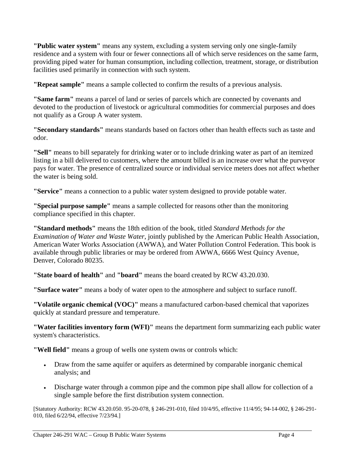**"Public water system"** means any system, excluding a system serving only one single-family residence and a system with four or fewer connections all of which serve residences on the same farm, providing piped water for human consumption, including collection, treatment, storage, or distribution facilities used primarily in connection with such system.

**"Repeat sample"** means a sample collected to confirm the results of a previous analysis.

**"Same farm"** means a parcel of land or series of parcels which are connected by covenants and devoted to the production of livestock or agricultural commodities for commercial purposes and does not qualify as a Group A water system.

**"Secondary standards"** means standards based on factors other than health effects such as taste and odor.

**"Sell"** means to bill separately for drinking water or to include drinking water as part of an itemized listing in a bill delivered to customers, where the amount billed is an increase over what the purveyor pays for water. The presence of centralized source or individual service meters does not affect whether the water is being sold.

**"Service"** means a connection to a public water system designed to provide potable water.

**"Special purpose sample"** means a sample collected for reasons other than the monitoring compliance specified in this chapter.

**"Standard methods"** means the 18th edition of the book, titled *Standard Methods for the Examination of Water and Waste Water*, jointly published by the American Public Health Association, American Water Works Association (AWWA), and Water Pollution Control Federation. This book is available through public libraries or may be ordered from AWWA, 6666 West Quincy Avenue, Denver, Colorado 80235.

**"State board of health"** and **"board"** means the board created by RCW 43.20.030.

**"Surface water"** means a body of water open to the atmosphere and subject to surface runoff.

**"Volatile organic chemical (VOC)"** means a manufactured carbon-based chemical that vaporizes quickly at standard pressure and temperature.

**"Water facilities inventory form (WFI)"** means the department form summarizing each public water system's characteristics.

**"Well field"** means a group of wells one system owns or controls which:

- Draw from the same aquifer or aquifers as determined by comparable inorganic chemical analysis; and
- Discharge water through a common pipe and the common pipe shall allow for collection of a single sample before the first distribution system connection.

[Statutory Authority: RCW 43.20.050. 95-20-078, § 246-291-010, filed 10/4/95, effective 11/4/95; 94-14-002, § 246-291- 010, filed 6/22/94, effective 7/23/94.]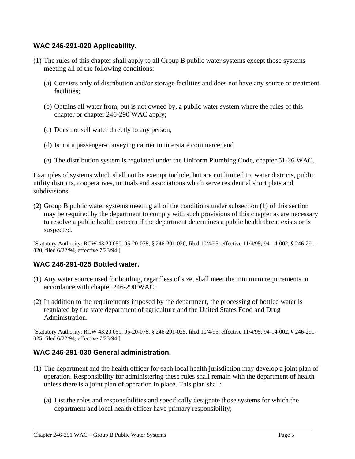#### **WAC 246-291-020 Applicability.**

- (1) The rules of this chapter shall apply to all Group B public water systems except those systems meeting all of the following conditions:
	- (a) Consists only of distribution and/or storage facilities and does not have any source or treatment facilities;
	- (b) Obtains all water from, but is not owned by, a public water system where the rules of this chapter or chapter 246-290 WAC apply;
	- (c) Does not sell water directly to any person;
	- (d) Is not a passenger-conveying carrier in interstate commerce; and
	- (e) The distribution system is regulated under the Uniform Plumbing Code, chapter 51-26 WAC.

Examples of systems which shall not be exempt include, but are not limited to, water districts, public utility districts, cooperatives, mutuals and associations which serve residential short plats and subdivisions.

(2) Group B public water systems meeting all of the conditions under subsection (1) of this section may be required by the department to comply with such provisions of this chapter as are necessary to resolve a public health concern if the department determines a public health threat exists or is suspected.

[Statutory Authority: RCW 43.20.050. 95-20-078, § 246-291-020, filed 10/4/95, effective 11/4/95; 94-14-002, § 246-291- 020, filed 6/22/94, effective 7/23/94.]

#### **WAC 246-291-025 Bottled water.**

- (1) Any water source used for bottling, regardless of size, shall meet the minimum requirements in accordance with chapter 246-290 WAC.
- (2) In addition to the requirements imposed by the department, the processing of bottled water is regulated by the state department of agriculture and the United States Food and Drug Administration.

[Statutory Authority: RCW 43.20.050. 95-20-078, § 246-291-025, filed 10/4/95, effective 11/4/95; 94-14-002, § 246-291- 025, filed 6/22/94, effective 7/23/94.]

#### **WAC 246-291-030 General administration.**

- (1) The department and the health officer for each local health jurisdiction may develop a joint plan of operation. Responsibility for administering these rules shall remain with the department of health unless there is a joint plan of operation in place. This plan shall:
	- (a) List the roles and responsibilities and specifically designate those systems for which the department and local health officer have primary responsibility;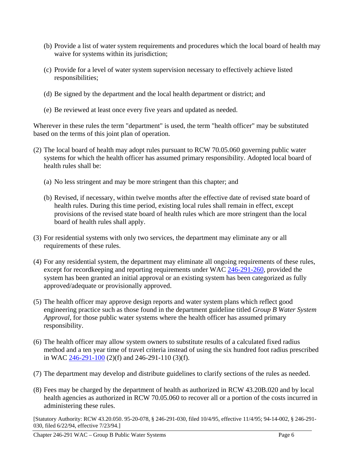- (b) Provide a list of water system requirements and procedures which the local board of health may waive for systems within its jurisdiction;
- (c) Provide for a level of water system supervision necessary to effectively achieve listed responsibilities;
- (d) Be signed by the department and the local health department or district; and
- (e) Be reviewed at least once every five years and updated as needed.

Wherever in these rules the term "department" is used, the term "health officer" may be substituted based on the terms of this joint plan of operation.

- (2) The local board of health may adopt rules pursuant to RCW 70.05.060 governing public water systems for which the health officer has assumed primary responsibility. Adopted local board of health rules shall be:
	- (a) No less stringent and may be more stringent than this chapter; and
	- (b) Revised, if necessary, within twelve months after the effective date of revised state board of health rules. During this time period, existing local rules shall remain in effect, except provisions of the revised state board of health rules which are more stringent than the local board of health rules shall apply.
- (3) For residential systems with only two services, the department may eliminate any or all requirements of these rules.
- (4) For any residential system, the department may eliminate all ongoing requirements of these rules, except for record keeping and reporting requirements under WAC 246-291-260, provided the system has been granted an initial approval or an existing system has been categorized as fully approved/adequate or provisionally approved.
- (5) The health officer may approve design reports and water system plans which reflect good engineering practice such as those found in the department guideline titled *Group B Water System Approval*, for those public water systems where the health officer has assumed primary responsibility.
- (6) The health officer may allow system owners to substitute results of a calculated fixed radius method and a ten year time of travel criteria instead of using the six hundred foot radius prescribed in WAC 246-291-100 (2)(f) and 246-291-110 (3)(f).
- (7) The department may develop and distribute guidelines to clarify sections of the rules as needed.
- (8) Fees may be charged by the department of health as authorized in RCW 43.20B.020 and by local health agencies as authorized in RCW 70.05.060 to recover all or a portion of the costs incurred in administering these rules.

[Statutory Authority: RCW 43.20.050. 95-20-078, § 246-291-030, filed 10/4/95, effective 11/4/95; 94-14-002, § 246-291- 030, filed 6/22/94, effective 7/23/94.]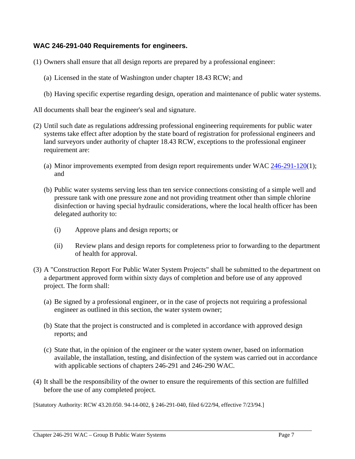#### **WAC 246-291-040 Requirements for engineers.**

- (1) Owners shall ensure that all design reports are prepared by a professional engineer:
	- (a) Licensed in the state of Washington under chapter 18.43 RCW; and
	- (b) Having specific expertise regarding design, operation and maintenance of public water systems.
- All documents shall bear the engineer's seal and signature.
- (2) Until such date as regulations addressing professional engineering requirements for public water systems take effect after adoption by the state board of registration for professional engineers and land surveyors under authority of chapter 18.43 RCW, exceptions to the professional engineer requirement are:
	- (a) Minor improvements exempted from design report requirements under WAC 246-291-120(1); and
	- (b) Public water systems serving less than ten service connections consisting of a simple well and pressure tank with one pressure zone and not providing treatment other than simple chlorine disinfection or having special hydraulic considerations, where the local health officer has been delegated authority to:
		- (i) Approve plans and design reports; or
		- (ii) Review plans and design reports for completeness prior to forwarding to the department of health for approval.
- (3) A "Construction Report For Public Water System Projects" shall be submitted to the department on a department approved form within sixty days of completion and before use of any approved project. The form shall:
	- (a) Be signed by a professional engineer, or in the case of projects not requiring a professional engineer as outlined in this section, the water system owner;
	- (b) State that the project is constructed and is completed in accordance with approved design reports; and
	- (c) State that, in the opinion of the engineer or the water system owner, based on information available, the installation, testing, and disinfection of the system was carried out in accordance with applicable sections of chapters 246-291 and 246-290 WAC.
- (4) It shall be the responsibility of the owner to ensure the requirements of this section are fulfilled before the use of any completed project.

[Statutory Authority: RCW 43.20.050. 94-14-002, § 246-291-040, filed 6/22/94, effective 7/23/94.]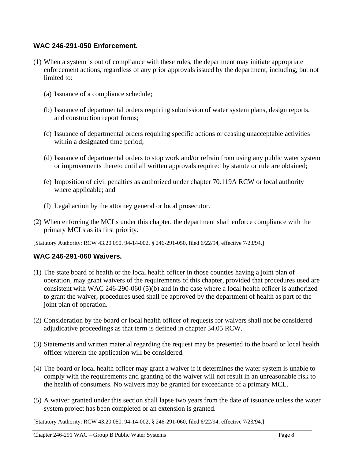#### **WAC 246-291-050 Enforcement.**

- (1) When a system is out of compliance with these rules, the department may initiate appropriate enforcement actions, regardless of any prior approvals issued by the department, including, but not limited to:
	- (a) Issuance of a compliance schedule;
	- (b) Issuance of departmental orders requiring submission of water system plans, design reports, and construction report forms;
	- (c) Issuance of departmental orders requiring specific actions or ceasing unacceptable activities within a designated time period;
	- (d) Issuance of departmental orders to stop work and/or refrain from using any public water system or improvements thereto until all written approvals required by statute or rule are obtained;
	- (e) Imposition of civil penalties as authorized under chapter 70.119A RCW or local authority where applicable; and
	- (f) Legal action by the attorney general or local prosecutor.
- (2) When enforcing the MCLs under this chapter, the department shall enforce compliance with the primary MCLs as its first priority.

[Statutory Authority: RCW 43.20.050. 94-14-002, § 246-291-050, filed 6/22/94, effective 7/23/94.]

#### **WAC 246-291-060 Waivers.**

- (1) The state board of health or the local health officer in those counties having a joint plan of operation, may grant waivers of the requirements of this chapter, provided that procedures used are consistent with WAC 246-290-060 (5)(b) and in the case where a local health officer is authorized to grant the waiver, procedures used shall be approved by the department of health as part of the joint plan of operation.
- (2) Consideration by the board or local health officer of requests for waivers shall not be considered adjudicative proceedings as that term is defined in chapter 34.05 RCW.
- (3) Statements and written material regarding the request may be presented to the board or local health officer wherein the application will be considered.
- (4) The board or local health officer may grant a waiver if it determines the water system is unable to comply with the requirements and granting of the waiver will not result in an unreasonable risk to the health of consumers. No waivers may be granted for exceedance of a primary MCL.
- (5) A waiver granted under this section shall lapse two years from the date of issuance unless the water system project has been completed or an extension is granted.

[Statutory Authority: RCW 43.20.050. 94-14-002, § 246-291-060, filed 6/22/94, effective 7/23/94.]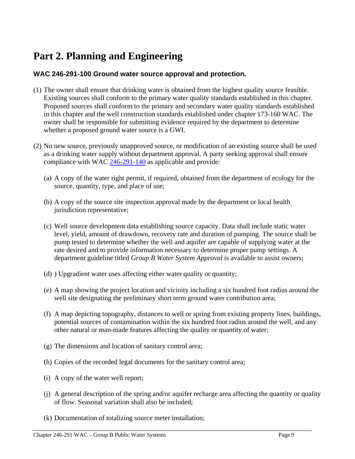## **Part 2. Planning and Engineering**

#### **WAC 246-291-100 Ground water source approval and protection.**

- (1) The owner shall ensure that drinking water is obtained from the highest quality source feasible. Existing sources shall conform to the primary water quality standards established in this chapter. Proposed sources shall conform to the primary and secondary water quality standards established in this chapter and the well construction standards established under chapter 173-160 WAC. The owner shall be responsible for submitting evidence required by the department to determine whether a proposed ground water source is a GWI.
- (2) No new source, previously unapproved source, or modification of an existing source shall be used as a drinking water supply without department approval. A party seeking approval shall ensure compliance with WAC 246-291-140 as applicable and provide:
	- (a) A copy of the water right permit, if required, obtained from the department of ecology for the source, quantity, type, and place of use;
	- (b) A copy of the source site inspection approval made by the department or local health jurisdiction representative;
	- (c) Well source development data establishing source capacity. Data shall include static water level, yield, amount of drawdown, recovery rate and duration of pumping. The source shall be pump tested to determine whether the well and aquifer are capable of supplying water at the rate desired and to provide information necessary to determine proper pump settings. A department guideline titled *Group B Water System Approval* is available to assist owners;
	- (d) ) Upgradient water uses affecting either water quality or quantity;
	- (e) A map showing the project location and vicinity including a six hundred foot radius around the well site designating the preliminary short term ground water contribution area;
	- (f) A map depicting topography, distances to well or spring from existing property lines, buildings, potential sources of contamination within the six hundred foot radius around the well, and any other natural or man-made features affecting the quality or quantity of water;
	- (g) The dimensions and location of sanitary control area;
	- (h) Copies of the recorded legal documents for the sanitary control area;
	- (i) A copy of the water well report;
	- (j) A general description of the spring and/or aquifer recharge area affecting the quantity or quality of flow. Seasonal variation shall also be included;
	- (k) Documentation of totalizing source meter installation;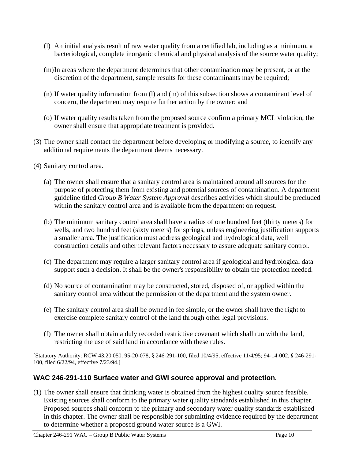- (l) An initial analysis result of raw water quality from a certified lab, including as a minimum, a bacteriological, complete inorganic chemical and physical analysis of the source water quality;
- (m) In areas where the department determines that other contamination may be present, or at the discretion of the department, sample results for these contaminants may be required;
- (n) If water quality information from (l) and (m) of this subsection shows a contaminant level of concern, the department may require further action by the owner; and
- (o) If water quality results taken from the proposed source confirm a primary MCL violation, the owner shall ensure that appropriate treatment is provided.
- (3) The owner shall contact the department before developing or modifying a source, to identify any additional requirements the department deems necessary.
- (4) Sanitary control area.
	- (a) The owner shall ensure that a sanitary control area is maintained around all sources for the purpose of protecting them from existing and potential sources of contamination. A department guideline titled *Group B Water System Approval* describes activities which should be precluded within the sanitary control area and is available from the department on request.
	- (b) The minimum sanitary control area shall have a radius of one hundred feet (thirty meters) for wells, and two hundred feet (sixty meters) for springs, unless engineering justification supports a smaller area. The justification must address geological and hydrological data, well construction details and other relevant factors necessary to assure adequate sanitary control.
	- (c) The department may require a larger sanitary control area if geological and hydrological data support such a decision. It shall be the owner's responsibility to obtain the protection needed.
	- (d) No source of contamination may be constructed, stored, disposed of, or applied within the sanitary control area without the permission of the department and the system owner.
	- (e) The sanitary control area shall be owned in fee simple, or the owner shall have the right to exercise complete sanitary control of the land through other legal provisions.
	- (f) The owner shall obtain a duly recorded restrictive covenant which shall run with the land, restricting the use of said land in accordance with these rules.

[Statutory Authority: RCW 43.20.050. 95-20-078, § 246-291-100, filed 10/4/95, effective 11/4/95; 94-14-002, § 246-291- 100, filed 6/22/94, effective 7/23/94.]

#### **WAC 246-291-110 Surface water and GWI source approval and protection.**

(1) The owner shall ensure that drinking water is obtained from the highest quality source feasible. Existing sources shall conform to the primary water quality standards established in this chapter. Proposed sources shall conform to the primary and secondary water quality standards established in this chapter. The owner shall be responsible for submitting evidence required by the department to determine whether a proposed ground water source is a GWI.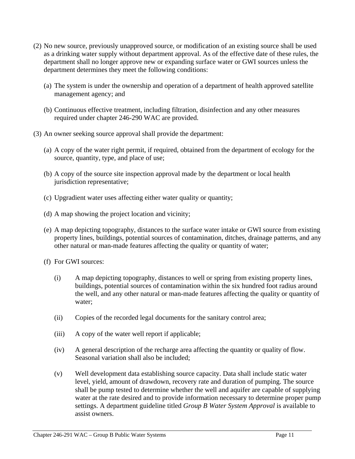- (2) No new source, previously unapproved source, or modification of an existing source shall be used as a drinking water supply without department approval. As of the effective date of these rules, the department shall no longer approve new or expanding surface water or GWI sources unless the department determines they meet the following conditions:
	- (a) The system is under the ownership and operation of a department of health approved satellite management agency; and
	- (b) Continuous effective treatment, including filtration, disinfection and any other measures required under chapter 246-290 WAC are provided.
- (3) An owner seeking source approval shall provide the department:
	- (a) A copy of the water right permit, if required, obtained from the department of ecology for the source, quantity, type, and place of use;
	- (b) A copy of the source site inspection approval made by the department or local health jurisdiction representative;
	- (c) Upgradient water uses affecting either water quality or quantity;
	- (d) A map showing the project location and vicinity;
	- (e) A map depicting topography, distances to the surface water intake or GWI source from existing property lines, buildings, potential sources of contamination, ditches, drainage patterns, and any other natural or man-made features affecting the quality or quantity of water;
	- (f) For GWI sources:
		- (i) A map depicting topography, distances to well or spring from existing property lines, buildings, potential sources of contamination within the six hundred foot radius around the well, and any other natural or man-made features affecting the quality or quantity of water;
		- (ii) Copies of the recorded legal documents for the sanitary control area;
		- (iii) A copy of the water well report if applicable;
		- (iv) A general description of the recharge area affecting the quantity or quality of flow. Seasonal variation shall also be included;
		- (v) Well development data establishing source capacity. Data shall include static water level, yield, amount of drawdown, recovery rate and duration of pumping. The source shall be pump tested to determine whether the well and aquifer are capable of supplying water at the rate desired and to provide information necessary to determine proper pump settings. A department guideline titled *Group B Water System Approval* is available to assist owners.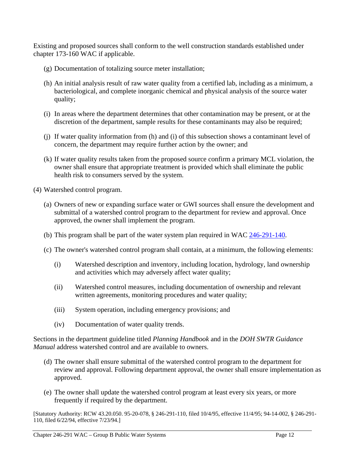Existing and proposed sources shall conform to the well construction standards established under chapter 173-160 WAC if applicable.

- (g) Documentation of totalizing source meter installation;
- (h) An initial analysis result of raw water quality from a certified lab, including as a minimum, a bacteriological, and complete inorganic chemical and physical analysis of the source water quality;
- (i) In areas where the department determines that other contamination may be present, or at the discretion of the department, sample results for these contaminants may also be required;
- (j) If water quality information from (h) and (i) of this subsection shows a contaminant level of concern, the department may require further action by the owner; and
- (k) If water quality results taken from the proposed source confirm a primary MCL violation, the owner shall ensure that appropriate treatment is provided which shall eliminate the public health risk to consumers served by the system.
- (4) Watershed control program.
	- (a) Owners of new or expanding surface water or GWI sources shall ensure the development and submittal of a watershed control program to the department for review and approval. Once approved, the owner shall implement the program.
	- (b) This program shall be part of the water system plan required in WAC 246-291-140.
	- (c) The owner's watershed control program shall contain, at a minimum, the following elements:
		- (i) Watershed description and inventory, including location, hydrology, land ownership and activities which may adversely affect water quality;
		- (ii) Watershed control measures, including documentation of ownership and relevant written agreements, monitoring procedures and water quality;
		- (iii) System operation, including emergency provisions; and
		- (iv) Documentation of water quality trends.

Sections in the department guideline titled *Planning Handbook* and in the *DOH SWTR Guidance Manual* address watershed control and are available to owners.

- (d) The owner shall ensure submittal of the watershed control program to the department for review and approval. Following department approval, the owner shall ensure implementation as approved.
- (e) The owner shall update the watershed control program at least every six years, or more frequently if required by the department.

[Statutory Authority: RCW 43.20.050. 95-20-078, § 246-291-110, filed 10/4/95, effective 11/4/95; 94-14-002, § 246-291- 110, filed 6/22/94, effective 7/23/94.]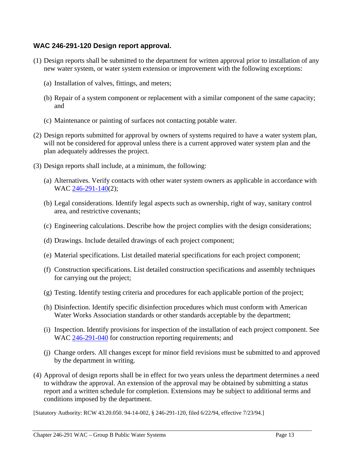#### **WAC 246-291-120 Design report approval.**

- (1) Design reports shall be submitted to the department for written approval prior to installation of any new water system, or water system extension or improvement with the following exceptions:
	- (a) Installation of valves, fittings, and meters;
	- (b) Repair of a system component or replacement with a similar component of the same capacity; and
	- (c) Maintenance or painting of surfaces not contacting potable water.
- (2) Design reports submitted for approval by owners of systems required to have a water system plan, will not be considered for approval unless there is a current approved water system plan and the plan adequately addresses the project.
- (3) Design reports shall include, at a minimum, the following:
	- (a) Alternatives. Verify contacts with other water system owners as applicable in accordance with WAC 246-291-140(2);
	- (b) Legal considerations. Identify legal aspects such as ownership, right of way, sanitary control area, and restrictive covenants;
	- (c) Engineering calculations. Describe how the project complies with the design considerations;
	- (d) Drawings. Include detailed drawings of each project component;
	- (e) Material specifications. List detailed material specifications for each project component;
	- (f) Construction specifications. List detailed construction specifications and assembly techniques for carrying out the project;
	- (g) Testing. Identify testing criteria and procedures for each applicable portion of the project;
	- (h) Disinfection. Identify specific disinfection procedures which must conform with American Water Works Association standards or other standards acceptable by the department;
	- (i) Inspection. Identify provisions for inspection of the installation of each project component. See WAC 246-291-040 for construction reporting requirements; and
	- (j) Change orders. All changes except for minor field revisions must be submitted to and approved by the department in writing.
- (4) Approval of design reports shall be in effect for two years unless the department determines a need to withdraw the approval. An extension of the approval may be obtained by submitting a status report and a written schedule for completion. Extensions may be subject to additional terms and conditions imposed by the department.

[Statutory Authority: RCW 43.20.050. 94-14-002, § 246-291-120, filed 6/22/94, effective 7/23/94.]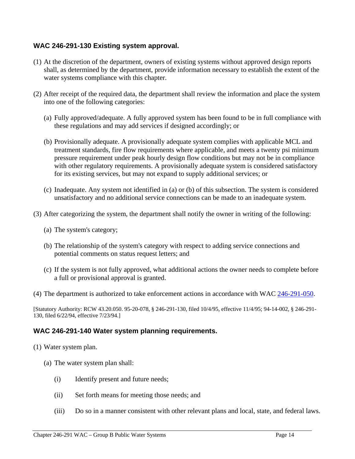#### **WAC 246-291-130 Existing system approval.**

- (1) At the discretion of the department, owners of existing systems without approved design reports shall, as determined by the department, provide information necessary to establish the extent of the water systems compliance with this chapter.
- (2) After receipt of the required data, the department shall review the information and place the system into one of the following categories:
	- (a) Fully approved/adequate. A fully approved system has been found to be in full compliance with these regulations and may add services if designed accordingly; or
	- (b) Provisionally adequate. A provisionally adequate system complies with applicable MCL and treatment standards, fire flow requirements where applicable, and meets a twenty psi minimum pressure requirement under peak hourly design flow conditions but may not be in compliance with other regulatory requirements. A provisionally adequate system is considered satisfactory for its existing services, but may not expand to supply additional services; or
	- (c) Inadequate. Any system not identified in (a) or (b) of this subsection. The system is considered unsatisfactory and no additional service connections can be made to an inadequate system.
- (3) After categorizing the system, the department shall notify the owner in writing of the following:
	- (a) The system's category;
	- (b) The relationship of the system's category with respect to adding service connections and potential comments on status request letters; and
	- (c) If the system is not fully approved, what additional actions the owner needs to complete before a full or provisional approval is granted.
- (4) The department is authorized to take enforcement actions in accordance with WAC 246-291-050.

[Statutory Authority: RCW 43.20.050. 95-20-078, § 246-291-130, filed 10/4/95, effective 11/4/95; 94-14-002, § 246-291- 130, filed 6/22/94, effective 7/23/94.]

#### **WAC 246-291-140 Water system planning requirements.**

- (1) Water system plan.
	- (a) The water system plan shall:
		- (i) Identify present and future needs;
		- (ii) Set forth means for meeting those needs; and
		- (iii) Do so in a manner consistent with other relevant plans and local, state, and federal laws.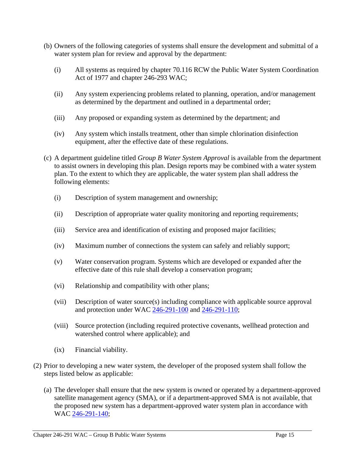- (b) Owners of the following categories of systems shall ensure the development and submittal of a water system plan for review and approval by the department:
	- (i) All systems as required by chapter 70.116 RCW the Public Water System Coordination Act of 1977 and chapter 246-293 WAC;
	- (ii) Any system experiencing problems related to planning, operation, and/or management as determined by the department and outlined in a departmental order;
	- (iii) Any proposed or expanding system as determined by the department; and
	- (iv) Any system which installs treatment, other than simple chlorination disinfection equipment, after the effective date of these regulations.
- (c) A department guideline titled *Group B Water System Approval* is available from the department to assist owners in developing this plan. Design reports may be combined with a water system plan. To the extent to which they are applicable, the water system plan shall address the following elements:
	- (i) Description of system management and ownership;
	- (ii) Description of appropriate water quality monitoring and reporting requirements;
	- (iii) Service area and identification of existing and proposed major facilities;
	- (iv) Maximum number of connections the system can safely and reliably support;
	- (v) Water conservation program. Systems which are developed or expanded after the effective date of this rule shall develop a conservation program;
	- (vi) Relationship and compatibility with other plans;
	- (vii) Description of water source(s) including compliance with applicable source approval and protection under WAC 246-291-100 and 246-291-110;
	- (viii) Source protection (including required protective covenants, wellhead protection and watershed control where applicable); and
	- (ix) Financial viability.
- (2) Prior to developing a new water system, the developer of the proposed system shall follow the steps listed below as applicable:
	- (a) The developer shall ensure that the new system is owned or operated by a department-approved satellite management agency (SMA), or if a department-approved SMA is not available, that the proposed new system has a department-approved water system plan in accordance with WAC 246-291-140;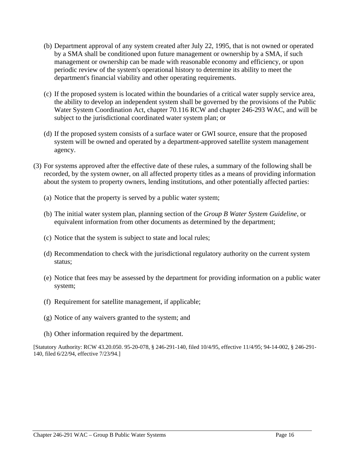- (b) Department approval of any system created after July 22, 1995, that is not owned or operated by a SMA shall be conditioned upon future management or ownership by a SMA, if such management or ownership can be made with reasonable economy and efficiency, or upon periodic review of the system's operational history to determine its ability to meet the department's financial viability and other operating requirements.
- (c) If the proposed system is located within the boundaries of a critical water supply service area, the ability to develop an independent system shall be governed by the provisions of the Public Water System Coordination Act, chapter 70.116 RCW and chapter 246-293 WAC, and will be subject to the jurisdictional coordinated water system plan; or
- (d) If the proposed system consists of a surface water or GWI source, ensure that the proposed system will be owned and operated by a department-approved satellite system management agency.
- (3) For systems approved after the effective date of these rules, a summary of the following shall be recorded, by the system owner, on all affected property titles as a means of providing information about the system to property owners, lending institutions, and other potentially affected parties:
	- (a) Notice that the property is served by a public water system;
	- (b) The initial water system plan, planning section of the *Group B Water System Guideline*, or equivalent information from other documents as determined by the department;
	- (c) Notice that the system is subject to state and local rules;
	- (d) Recommendation to check with the jurisdictional regulatory authority on the current system status;
	- (e) Notice that fees may be assessed by the department for providing information on a public water system;
	- (f) Requirement for satellite management, if applicable;
	- (g) Notice of any waivers granted to the system; and
	- (h) Other information required by the department.

[Statutory Authority: RCW 43.20.050. 95-20-078, § 246-291-140, filed 10/4/95, effective 11/4/95; 94-14-002, § 246-291- 140, filed 6/22/94, effective 7/23/94.]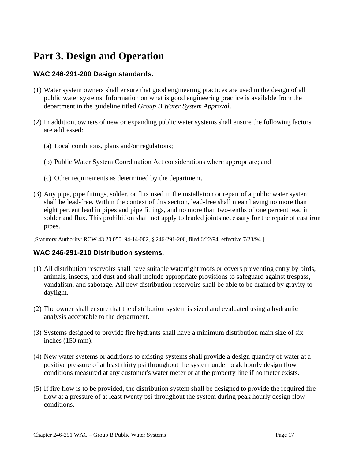## **Part 3. Design and Operation**

#### **WAC 246-291-200 Design standards.**

- (1) Water system owners shall ensure that good engineering practices are used in the design of all public water systems. Information on what is good engineering practice is available from the department in the guideline titled *Group B Water System Approval*.
- (2) In addition, owners of new or expanding public water systems shall ensure the following factors are addressed:
	- (a) Local conditions, plans and/or regulations;
	- (b) Public Water System Coordination Act considerations where appropriate; and
	- (c) Other requirements as determined by the department.
- (3) Any pipe, pipe fittings, solder, or flux used in the installation or repair of a public water system shall be lead-free. Within the context of this section, lead-free shall mean having no more than eight percent lead in pipes and pipe fittings, and no more than two-tenths of one percent lead in solder and flux. This prohibition shall not apply to leaded joints necessary for the repair of cast iron pipes.

[Statutory Authority: RCW 43.20.050. 94-14-002, § 246-291-200, filed 6/22/94, effective 7/23/94.]

#### **WAC 246-291-210 Distribution systems.**

- (1) All distribution reservoirs shall have suitable watertight roofs or covers preventing entry by birds, animals, insects, and dust and shall include appropriate provisions to safeguard against trespass, vandalism, and sabotage. All new distribution reservoirs shall be able to be drained by gravity to daylight.
- (2) The owner shall ensure that the distribution system is sized and evaluated using a hydraulic analysis acceptable to the department.
- (3) Systems designed to provide fire hydrants shall have a minimum distribution main size of six inches (150 mm).
- (4) New water systems or additions to existing systems shall provide a design quantity of water at a positive pressure of at least thirty psi throughout the system under peak hourly design flow conditions measured at any customer's water meter or at the property line if no meter exists.
- (5) If fire flow is to be provided, the distribution system shall be designed to provide the required fire flow at a pressure of at least twenty psi throughout the system during peak hourly design flow conditions.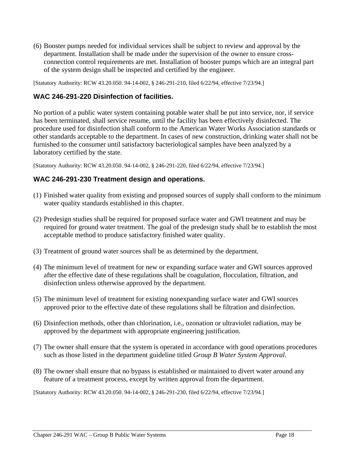(6) Booster pumps needed for individual services shall be subject to review and approval by the department. Installation shall be made under the supervision of the owner to ensure crossconnection control requirements are met. Installation of booster pumps which are an integral part of the system design shall be inspected and certified by the engineer.

[Statutory Authority: RCW 43.20.050. 94-14-002, § 246-291-210, filed 6/22/94, effective 7/23/94.]

#### **WAC 246-291-220 Disinfection of facilities.**

No portion of a public water system containing potable water shall be put into service, nor, if service has been terminated, shall service resume, until the facility has been effectively disinfected. The procedure used for disinfection shall conform to the American Water Works Association standards or other standards acceptable to the department. In cases of new construction, drinking water shall not be furnished to the consumer until satisfactory bacteriological samples have been analyzed by a laboratory certified by the state.

[Statutory Authority: RCW 43.20.050. 94-14-002, § 246-291-220, filed 6/22/94, effective 7/23/94.]

#### **WAC 246-291-230 Treatment design and operations.**

- (1) Finished water quality from existing and proposed sources of supply shall conform to the minimum water quality standards established in this chapter.
- (2) Predesign studies shall be required for proposed surface water and GWI treatment and may be required for ground water treatment. The goal of the predesign study shall be to establish the most acceptable method to produce satisfactory finished water quality.
- (3) Treatment of ground water sources shall be as determined by the department.
- (4) The minimum level of treatment for new or expanding surface water and GWI sources approved after the effective date of these regulations shall be coagulation, flocculation, filtration, and disinfection unless otherwise approved by the department.
- (5) The minimum level of treatment for existing nonexpanding surface water and GWI sources approved prior to the effective date of these regulations shall be filtration and disinfection.
- (6) Disinfection methods, other than chlorination, i.e., ozonation or ultraviolet radiation, may be approved by the department with appropriate engineering justification.
- (7) The owner shall ensure that the system is operated in accordance with good operations procedures such as those listed in the department guideline titled *Group B Water System Approval*.
- (8) The owner shall ensure that no bypass is established or maintained to divert water around any feature of a treatment process, except by written approval from the department.

[Statutory Authority: RCW 43.20.050. 94-14-002, § 246-291-230, filed 6/22/94, effective 7/23/94.]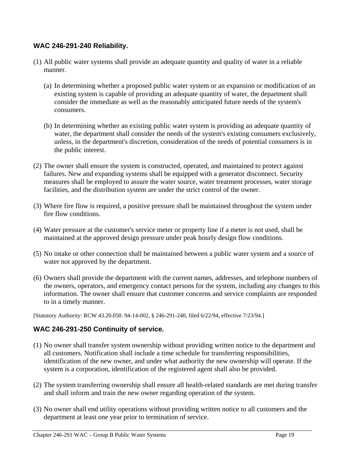#### **WAC 246-291-240 Reliability.**

- (1) All public water systems shall provide an adequate quantity and quality of water in a reliable manner.
	- (a) In determining whether a proposed public water system or an expansion or modification of an existing system is capable of providing an adequate quantity of water, the department shall consider the immediate as well as the reasonably anticipated future needs of the system's consumers.
	- (b) In determining whether an existing public water system is providing an adequate quantity of water, the department shall consider the needs of the system's existing consumers exclusively, unless, in the department's discretion, consideration of the needs of potential consumers is in the public interest.
- (2) The owner shall ensure the system is constructed, operated, and maintained to protect against failures. New and expanding systems shall be equipped with a generator disconnect. Security measures shall be employed to assure the water source, water treatment processes, water storage facilities, and the distribution system are under the strict control of the owner.
- (3) Where fire flow is required, a positive pressure shall be maintained throughout the system under fire flow conditions.
- (4) Water pressure at the customer's service meter or property line if a meter is not used, shall be maintained at the approved design pressure under peak hourly design flow conditions.
- (5) No intake or other connection shall be maintained between a public water system and a source of water not approved by the department.
- (6) Owners shall provide the department with the current names, addresses, and telephone numbers of the owners, operators, and emergency contact persons for the system, including any changes to this information. The owner shall ensure that customer concerns and service complaints are responded to in a timely manner.

[Statutory Authority: RCW 43.20.050. 94-14-002, § 246-291-240, filed 6/22/94, effective 7/23/94.]

#### **WAC 246-291-250 Continuity of service.**

- (1) No owner shall transfer system ownership without providing written notice to the department and all customers. Notification shall include a time schedule for transferring responsibilities, identification of the new owner, and under what authority the new ownership will operate. If the system is a corporation, identification of the registered agent shall also be provided.
- (2) The system transferring ownership shall ensure all health-related standards are met during transfer and shall inform and train the new owner regarding operation of the system.
- (3) No owner shall end utility operations without providing written notice to all customers and the department at least one year prior to termination of service.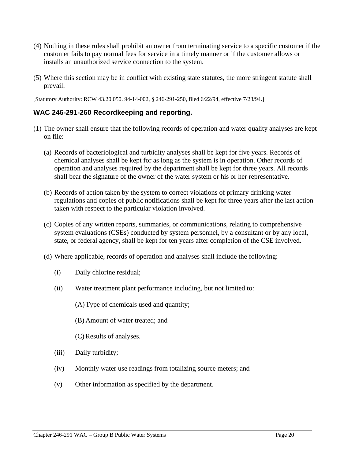- (4) Nothing in these rules shall prohibit an owner from terminating service to a specific customer if the customer fails to pay normal fees for service in a timely manner or if the customer allows or installs an unauthorized service connection to the system.
- (5) Where this section may be in conflict with existing state statutes, the more stringent statute shall prevail.

[Statutory Authority: RCW 43.20.050. 94-14-002, § 246-291-250, filed 6/22/94, effective 7/23/94.]

#### **WAC 246-291-260 Recordkeeping and reporting.**

- (1) The owner shall ensure that the following records of operation and water quality analyses are kept on file:
	- (a) Records of bacteriological and turbidity analyses shall be kept for five years. Records of chemical analyses shall be kept for as long as the system is in operation. Other records of operation and analyses required by the department shall be kept for three years. All records shall bear the signature of the owner of the water system or his or her representative.
	- (b) Records of action taken by the system to correct violations of primary drinking water regulations and copies of public notifications shall be kept for three years after the last action taken with respect to the particular violation involved.
	- (c) Copies of any written reports, summaries, or communications, relating to comprehensive system evaluations (CSEs) conducted by system personnel, by a consultant or by any local, state, or federal agency, shall be kept for ten years after completion of the CSE involved.
	- (d) Where applicable, records of operation and analyses shall include the following:
		- (i) Daily chlorine residual;
		- (ii) Water treatment plant performance including, but not limited to:

(A) Type of chemicals used and quantity;

(B) Amount of water treated; and

(C) Results of analyses.

- (iii) Daily turbidity;
- (iv) Monthly water use readings from totalizing source meters; and
- (v) Other information as specified by the department.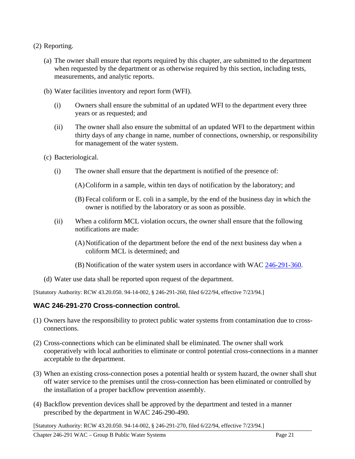- (2) Reporting.
	- (a) The owner shall ensure that reports required by this chapter, are submitted to the department when requested by the department or as otherwise required by this section, including tests, measurements, and analytic reports.
	- (b) Water facilities inventory and report form (WFI).
		- (i) Owners shall ensure the submittal of an updated WFI to the department every three years or as requested; and
		- (ii) The owner shall also ensure the submittal of an updated WFI to the department within thirty days of any change in name, number of connections, ownership, or responsibility for management of the water system.
	- (c) Bacteriological.
		- (i) The owner shall ensure that the department is notified of the presence of:
			- (A) Coliform in a sample, within ten days of notification by the laboratory; and
			- (B) Fecal coliform or E. coli in a sample, by the end of the business day in which the owner is notified by the laboratory or as soon as possible.
		- (ii) When a coliform MCL violation occurs, the owner shall ensure that the following notifications are made:
			- (A) Notification of the department before the end of the next business day when a coliform MCL is determined; and
			- (B) Notification of the water system users in accordance with WAC 246-291-360.
	- (d) Water use data shall be reported upon request of the department.

[Statutory Authority: RCW 43.20.050. 94-14-002, § 246-291-260, filed 6/22/94, effective 7/23/94.]

#### **WAC 246-291-270 Cross-connection control.**

- (1) Owners have the responsibility to protect public water systems from contamination due to crossconnections.
- (2) Cross-connections which can be eliminated shall be eliminated. The owner shall work cooperatively with local authorities to eliminate or control potential cross-connections in a manner acceptable to the department.
- (3) When an existing cross-connection poses a potential health or system hazard, the owner shall shut off water service to the premises until the cross-connection has been eliminated or controlled by the installation of a proper backflow prevention assembly.
- (4) Backflow prevention devices shall be approved by the department and tested in a manner prescribed by the department in WAC 246-290-490.

[Statutory Authority: RCW 43.20.050. 94-14-002, § 246-291-270, filed 6/22/94, effective 7/23/94.]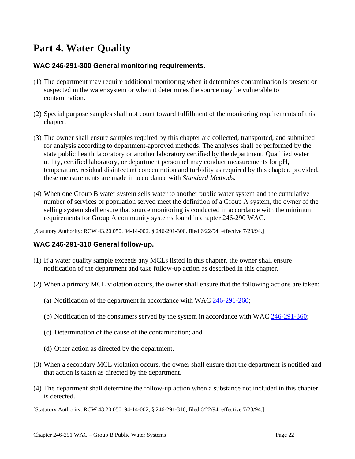## **Part 4. Water Quality**

#### **WAC 246-291-300 General monitoring requirements.**

- (1) The department may require additional monitoring when it determines contamination is present or suspected in the water system or when it determines the source may be vulnerable to contamination.
- (2) Special purpose samples shall not count toward fulfillment of the monitoring requirements of this chapter.
- (3) The owner shall ensure samples required by this chapter are collected, transported, and submitted for analysis according to department-approved methods. The analyses shall be performed by the state public health laboratory or another laboratory certified by the department. Qualified water utility, certified laboratory, or department personnel may conduct measurements for pH, temperature, residual disinfectant concentration and turbidity as required by this chapter, provided, these measurements are made in accordance with *Standard Methods*.
- (4) When one Group B water system sells water to another public water system and the cumulative number of services or population served meet the definition of a Group A system, the owner of the selling system shall ensure that source monitoring is conducted in accordance with the minimum requirements for Group A community systems found in chapter 246-290 WAC.

[Statutory Authority: RCW 43.20.050. 94-14-002, § 246-291-300, filed 6/22/94, effective 7/23/94.]

#### **WAC 246-291-310 General follow-up.**

- (1) If a water quality sample exceeds any MCLs listed in this chapter, the owner shall ensure notification of the department and take follow-up action as described in this chapter.
- (2) When a primary MCL violation occurs, the owner shall ensure that the following actions are taken:
	- (a) Notification of the department in accordance with WAC 246-291-260;
	- (b) Notification of the consumers served by the system in accordance with WAC 246-291-360;
	- (c) Determination of the cause of the contamination; and
	- (d) Other action as directed by the department.
- (3) When a secondary MCL violation occurs, the owner shall ensure that the department is notified and that action is taken as directed by the department.
- (4) The department shall determine the follow-up action when a substance not included in this chapter is detected.

[Statutory Authority: RCW 43.20.050. 94-14-002, § 246-291-310, filed 6/22/94, effective 7/23/94.]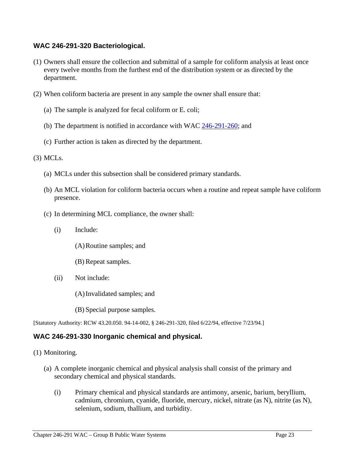#### **WAC 246-291-320 Bacteriological.**

- (1) Owners shall ensure the collection and submittal of a sample for coliform analysis at least once every twelve months from the furthest end of the distribution system or as directed by the department.
- (2) When coliform bacteria are present in any sample the owner shall ensure that:
	- (a) The sample is analyzed for fecal coliform or E. coli;
	- (b) The department is notified in accordance with WAC  $246-291-260$ ; and
	- (c) Further action is taken as directed by the department.

#### (3) MCLs.

- (a) MCLs under this subsection shall be considered primary standards.
- (b) An MCL violation for coliform bacteria occurs when a routine and repeat sample have coliform presence.
- (c) In determining MCL compliance, the owner shall:
	- (i) Include:
		- (A) Routine samples; and
		- (B) Repeat samples.
	- (ii) Not include:
		- (A) Invalidated samples; and
		- (B) Special purpose samples.

[Statutory Authority: RCW 43.20.050. 94-14-002, § 246-291-320, filed 6/22/94, effective 7/23/94.]

#### **WAC 246-291-330 Inorganic chemical and physical.**

- (1) Monitoring.
	- (a) A complete inorganic chemical and physical analysis shall consist of the primary and secondary chemical and physical standards.
		- (i) Primary chemical and physical standards are antimony, arsenic, barium, beryllium, cadmium, chromium, cyanide, fluoride, mercury, nickel, nitrate (as N), nitrite (as N), selenium, sodium, thallium, and turbidity.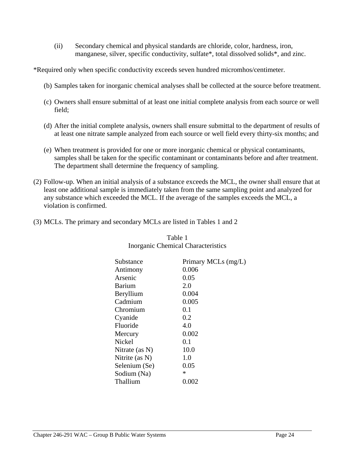(ii) Secondary chemical and physical standards are chloride, color, hardness, iron, manganese, silver, specific conductivity, sulfate\*, total dissolved solids\*, and zinc.

\*Required only when specific conductivity exceeds seven hundred micromhos/centimeter.

- (b) Samples taken for inorganic chemical analyses shall be collected at the source before treatment.
- (c) Owners shall ensure submittal of at least one initial complete analysis from each source or well field;
- (d) After the initial complete analysis, owners shall ensure submittal to the department of results of at least one nitrate sample analyzed from each source or well field every thirty-six months; and
- (e) When treatment is provided for one or more inorganic chemical or physical contaminants, samples shall be taken for the specific contaminant or contaminants before and after treatment. The department shall determine the frequency of sampling.
- (2) Follow-up. When an initial analysis of a substance exceeds the MCL, the owner shall ensure that at least one additional sample is immediately taken from the same sampling point and analyzed for any substance which exceeded the MCL. If the average of the samples exceeds the MCL, a violation is confirmed.
- (3) MCLs. The primary and secondary MCLs are listed in Tables 1 and 2

| Substance      | Primary MCLs (mg/L) |
|----------------|---------------------|
| Antimony       | 0.006               |
| Arsenic        | 0.05                |
| Barium         | 2.0                 |
| Beryllium      | 0.004               |
| Cadmium        | 0.005               |
| Chromium       | 0.1                 |
| Cyanide        | 0.2                 |
| Fluoride       | 4.0                 |
| Mercury        | 0.002               |
| Nickel         | 0.1                 |
| Nitrate (as N) | 10.0                |
| Nitrite (as N) | 1.0                 |
| Selenium (Se)  | 0.05                |
| Sodium (Na)    | *                   |
| Thallium       | 0.002               |
|                |                     |

#### Table 1 Inorganic Chemical Characteristics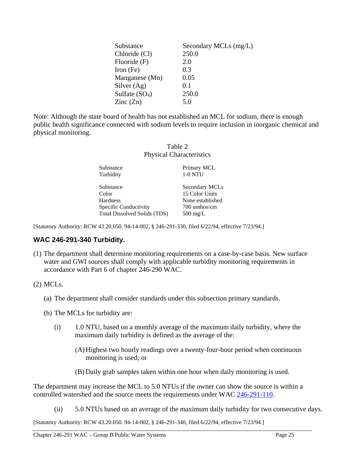| Substance                | Secondary MCLs (mg/L) |
|--------------------------|-----------------------|
| Chloride (Cl)            | 250.0                 |
| Fluoride (F)             | 2.0                   |
| Iron $(Fe)$              | 0.3                   |
| Manganese (Mn)           | 0.05                  |
| Silver $(Ag)$            | 0.1                   |
| Sulfate $(SO4)$          | 250.0                 |
| $\text{Zinc}(\text{Zn})$ | 5.0                   |

Note: Although the state board of health has not established an MCL for sodium, there is enough public health significance connected with sodium levels to require inclusion in inorganic chemical and physical monitoring.

Table 2

| <b>Physical Characteristics</b> |                    |  |
|---------------------------------|--------------------|--|
| Substance                       | Primary MCL        |  |
| Turbidity                       | <b>1-0 NTU</b>     |  |
| Substance                       | Secondary MCLs     |  |
| Color                           | 15 Color Units     |  |
| <b>Hardness</b>                 | None established   |  |
| Specific Conductivity           | 700 umhos/cm       |  |
| Total Dissolved Solids (TDS)    | $500 \text{ mg/L}$ |  |

[Statutory Authority: RCW 43.20.050. 94-14-002, § 246-291-330, filed 6/22/94, effective 7/23/94.]

#### **WAC 246-291-340 Turbidity.**

(1) The department shall determine monitoring requirements on a case-by-case basis. New surface water and GWI sources shall comply with applicable turbidity monitoring requirements in accordance with Part 6 of chapter 246-290 WAC.

#### (2) MCLs.

- (a) The department shall consider standards under this subsection primary standards.
- (b) The MCLs for turbidity are:
	- (i) 1.0 NTU, based on a monthly average of the maximum daily turbidity, where the maximum daily turbidity is defined as the average of the:
		- (A) Highest two hourly readings over a twenty-four-hour period when continuous monitoring is used; or
		- (B) Daily grab samples taken within one hour when daily monitoring is used.

The department may increase the MCL to 5.0 NTUs if the owner can show the source is within a controlled watershed and the source meets the requirements under WAC 246-291-110.

(ii) 5.0 NTUs based on an average of the maximum daily turbidity for two consecutive days.

[Statutory Authority: RCW 43.20.050. 94-14-002, § 246-291-340, filed 6/22/94, effective 7/23/94.]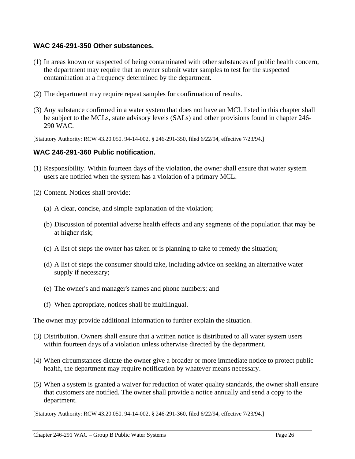#### **WAC 246-291-350 Other substances.**

- (1) In areas known or suspected of being contaminated with other substances of public health concern, the department may require that an owner submit water samples to test for the suspected contamination at a frequency determined by the department.
- (2) The department may require repeat samples for confirmation of results.
- (3) Any substance confirmed in a water system that does not have an MCL listed in this chapter shall be subject to the MCLs, state advisory levels (SALs) and other provisions found in chapter 246- 290 WAC.

[Statutory Authority: RCW 43.20.050. 94-14-002, § 246-291-350, filed 6/22/94, effective 7/23/94.]

#### **WAC 246-291-360 Public notification.**

- (1) Responsibility. Within fourteen days of the violation, the owner shall ensure that water system users are notified when the system has a violation of a primary MCL.
- (2) Content. Notices shall provide:
	- (a) A clear, concise, and simple explanation of the violation;
	- (b) Discussion of potential adverse health effects and any segments of the population that may be at higher risk;
	- (c) A list of steps the owner has taken or is planning to take to remedy the situation;
	- (d) A list of steps the consumer should take, including advice on seeking an alternative water supply if necessary;
	- (e) The owner's and manager's names and phone numbers; and
	- (f) When appropriate, notices shall be multilingual.

The owner may provide additional information to further explain the situation.

- (3) Distribution. Owners shall ensure that a written notice is distributed to all water system users within fourteen days of a violation unless otherwise directed by the department.
- (4) When circumstances dictate the owner give a broader or more immediate notice to protect public health, the department may require notification by whatever means necessary.
- (5) When a system is granted a waiver for reduction of water quality standards, the owner shall ensure that customers are notified. The owner shall provide a notice annually and send a copy to the department.

[Statutory Authority: RCW 43.20.050. 94-14-002, § 246-291-360, filed 6/22/94, effective 7/23/94.]